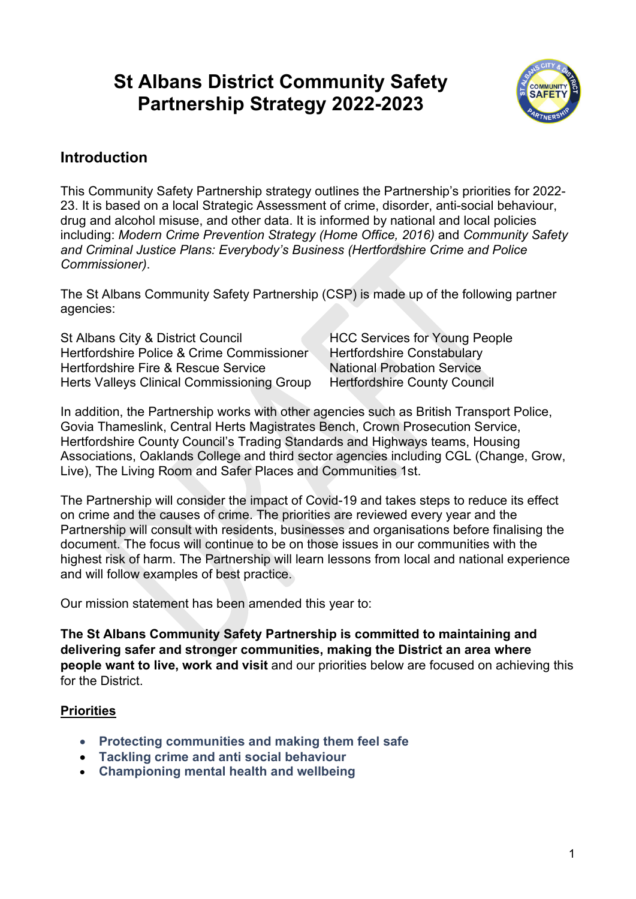# **St Albans District Community Safety Partnership Strategy 2022-2023**



### **Introduction**

This Community Safety Partnership strategy outlines the Partnership's priorities for 2022- 23. It is based on a local Strategic Assessment of crime, disorder, anti-social behaviour, drug and alcohol misuse, and other data. It is informed by national and local policies including: *Modern Crime Prevention Strategy (Home Office, 2016)* and *Community Safety and Criminal Justice Plans: Everybody's Business (Hertfordshire Crime and Police Commissioner)*.

The St Albans Community Safety Partnership (CSP) is made up of the following partner agencies:

St Albans City & District Council HCC Services for Young People Hertfordshire Police & Crime Commissioner Hertfordshire Constabulary Hertfordshire Fire & Rescue Service National Probation Service Herts Valleys Clinical Commissioning Group Hertfordshire County Council

In addition, the Partnership works with other agencies such as British Transport Police, Govia Thameslink, Central Herts Magistrates Bench, Crown Prosecution Service, Hertfordshire County Council's Trading Standards and Highways teams, Housing Associations, Oaklands College and third sector agencies including CGL (Change, Grow, Live), The Living Room and Safer Places and Communities 1st.

The Partnership will consider the impact of Covid-19 and takes steps to reduce its effect on crime and the causes of crime. The priorities are reviewed every year and the Partnership will consult with residents, businesses and organisations before finalising the document. The focus will continue to be on those issues in our communities with the highest risk of harm. The Partnership will learn lessons from local and national experience and will follow examples of best practice.

Our mission statement has been amended this year to:

**The St Albans Community Safety Partnership is committed to maintaining and delivering safer and stronger communities, making the District an area where people want to live, work and visit** and our priorities below are focused on achieving this for the District.

#### **Priorities**

- **Protecting communities and making them feel safe**
- **Tackling crime and anti social behaviour**
- **Championing mental health and wellbeing**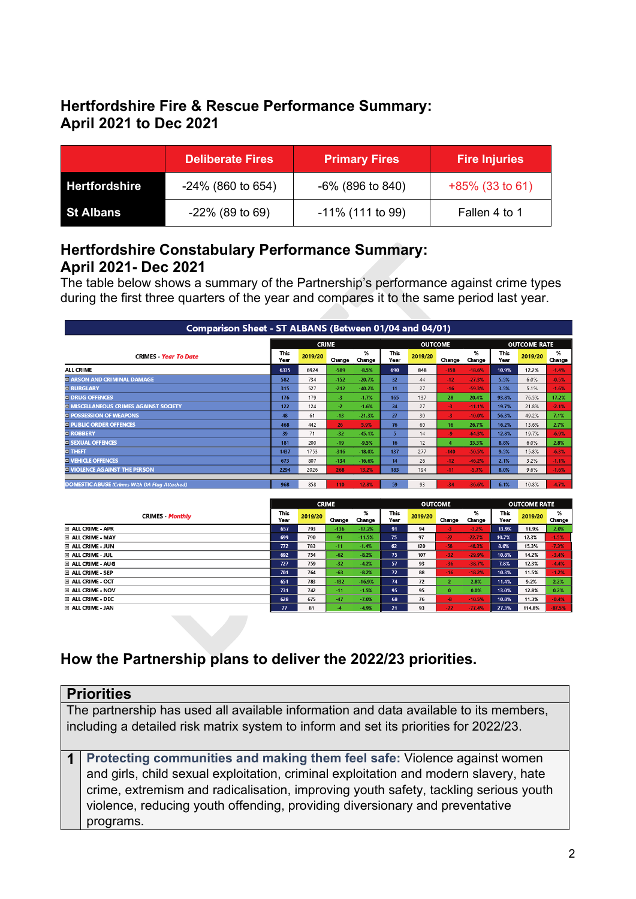# **Hertfordshire Fire & Rescue Performance Summary: April 2021 to Dec 2021**

|                      | <b>Deliberate Fires</b> | <b>Primary Fires</b> | <b>Fire Injuries</b> |  |  |  |  |
|----------------------|-------------------------|----------------------|----------------------|--|--|--|--|
| <b>Hertfordshire</b> | $-24\%$ (860 to 654)    | $-6\%$ (896 to 840)  | $+85\%$ (33 to 61)   |  |  |  |  |
| <b>St Albans</b>     | $-22\%$ (89 to 69)      | -11% (111 to 99)     | Fallen 4 to 1        |  |  |  |  |

#### **Hertfordshire Constabulary Performance Summary: April 2021- Dec 2021**

The table below shows a summary of the Partnership's performance against crime types during the first three quarters of the year and compares it to the same period last year.

| Comparison Sheet - ST ALBANS (Between 01/04 and 04/01) |              |         |        |             |                  |                |        |                     |              |         |             |
|--------------------------------------------------------|--------------|---------|--------|-------------|------------------|----------------|--------|---------------------|--------------|---------|-------------|
|                                                        | <b>CRIME</b> |         |        |             |                  | <b>OUTCOME</b> |        | <b>OUTCOME RATE</b> |              |         |             |
| <b>CRIMES</b> Year To Date                             | This<br>Year | 2019/20 | Change | %<br>Change | This<br>Year     | 2019/20        | Change | %<br>Change         | This<br>Year | 2019/20 | %<br>Change |
| ALL CRIME                                              | 6335         | 6924    | $-589$ | $-8.5%$     | 690              | 848            | $-158$ | $-18.6%$            | 10.9%        | 12.2%   | $-1.4%$     |
| <b>ELARSON AND CRIMINAL DAMAGE</b>                     | 582          | 734     | $-152$ | $-20.7%$    | 32               | 44             | $-12$  | $-27.3%$            | 5.5%         | 6.0%    | $-0.5%$     |
| <b>DI BURGLARY</b>                                     | 315          | 527     | $-212$ | $-40.2%$    | 11               | 27             | $-16$  | $-59.3%$            | 3.5%         | 5.1%    | $-1.6%$     |
| <b>EI DRUG OFFENCES</b>                                | 176          | 179     | -3.    | $-1.7%$     | 165              | 137            | 28     | 20.4%               | 93.8%        | 76.5%   | 17.2%       |
| <b>EL MISCELLANEOUS CRIMES AGAINST SOCIETY</b>         | 122          | 124     | $-2$   | $-1.6%$     | 24               | 27             | -3     | $-11.1%$            | 19.7%        | 21.8%   | $-2.1%$     |
| <b>EL POSSESSION OF WEAPONS</b>                        | 48           | 61      | $-13$  | $-21.3%$    | 27               | 30             | $-3$   | $-10.0%$            | 56.3%        | 49.2%   | 7.1%        |
| <b>EI PUBLIC ORDER OFFENCES</b>                        | 468          | 442     | 26     | 5.9%        | 76               | 60             | 16     | 26.7%               | 16.2%        | 13.6%   | 2.7%        |
| <b>DI ROBBERY</b>                                      | 39           | 71      | $-32$  | $-45.1%$    | 5.               | 14             | -9     | $-64.3%$            | 12.8%        | 19.7%   | $-6.9%$     |
| <b>EI SEXUAL OFFENCES</b>                              | 181          | 200     | $-19$  | $-9.5%$     | 16 <sup>16</sup> | 12             |        | 33.3%               | 8.8%         | 6.0%    | 2.8%        |
| <b>EITHEFT</b>                                         | 1437         | 1753    | $-316$ | $-18.0%$    | 137              | 277            | $-140$ | $-50.5%$            | 9.5%         | 15.8%   | $-6.3%$     |
| <b>EI VEHICLE OFFENCES</b>                             | 673          | 807     | $-134$ | $-16.6%$    | 14               | 26             | $-12$  | $-46.2%$            | 2.1%         | 3.2%    | $-1.1%$     |
| <b>III VIOLENCE AGAINST THE PERSON</b>                 | 2294         | 2026    | 268    | 13.2%       | 183              | 194            | $-11$  | $-5.7%$             | 8.0%         | 9.6%    | $-1.6%$     |
|                                                        |              |         |        |             |                  |                |        |                     |              |         |             |
| <b>DOMESTIC ABUSE (Crimes With DA Flag Attached)</b>   | 968          | 858     | 110    | 12.8%       | 59               | 93             | $-34$  | $-36.6%$            | 6.1%         | 10.8%   | $-4.7%$     |

|                           | <b>CRIME</b>    |         |        |             | <b>OUTCOME</b> |         | <b>OUTCOME RATE</b> |             |              |         |             |
|---------------------------|-----------------|---------|--------|-------------|----------------|---------|---------------------|-------------|--------------|---------|-------------|
| <b>CRIMES Monthly</b>     | This<br>Year    | 2019/20 | Change | %<br>Change | This<br>Year   | 2019/20 | Change              | %<br>Change | This<br>Year | 2019/20 | %<br>Change |
| E ALL CRIME - APR         | 657             | 793     | $-136$ | $-17.2%$    | 91             | 94      | $-3$                | $-3.2%$     | 13.9%        | 11.9%   | 2.0%        |
| <b>EL ALL CRIME - MAY</b> | 699             | 790     | $-91$  | $-11.5%$    | 75             | 97      | $-22$               | $-22.7%$    | 10.7%        | 12.3%   | $-1.5%$     |
| E ALL CRIME - JUN         | 772             | 783     | $-11$  | $-1.4%$     | 62             | 120     | $-58$               | $-48.3%$    | 8.0%         | 15.3%   | $-7.3%$     |
| E ALL CRIME - JUL         | 692             | 754     | $-62$  | $-8.2%$     | 75             | 107     | $-32$               | $-29.9%$    | 10.8%        | 14.2%   | $-3.4%$     |
| EL ALL CRIME - AUG        | 727             | 759     | $-32$  | $-4.2%$     | 57             | 93      | $-36$               | $-38.7%$    | 7.8%         | 12.3%   | $-4.4%$     |
| E ALL CRIME - SEP         | 701             | 764     | $-63$  | $-8.2%$     | 72             | 88      | $-16$               | $-18.2%$    | 10.3%        | 11.5%   | $-1.2%$     |
| E ALL CRIME - OCT         | 651             | 783     | $-132$ | $-16.9%$    | 74             | 72      | 2                   | 2.8%        | 11.4%        | 9.2%    | 2.2%        |
| E ALL CRIME - NOV         | 731             | 742     | $-11$  | $-1.5%$     | 95             | 95      | $\bf{0}$            | 0.0%        | 13.0%        | 12.8%   | 0.2%        |
| EI ALL CRIME - DEC        | 628             | 675     | $-47$  | $-7.0%$     | 68             | 76      | $-8$                | $-10.5%$    | 10.8%        | 11.3%   | $-0.4%$     |
| EI ALL CRIME - JAN        | $\overline{17}$ | 81      | $-4$   | $-4.9%$     | 21             | 93      | $-72$               | $-77.4%$    | 27.3%        | 114.8%  | $-87.5%$    |

## **How the Partnership plans to deliver the 2022/23 priorities.**

|                                                                                       | <b>Priorities</b>                                                                     |  |  |  |  |  |
|---------------------------------------------------------------------------------------|---------------------------------------------------------------------------------------|--|--|--|--|--|
|                                                                                       | The partnership has used all available information and data available to its members, |  |  |  |  |  |
| including a detailed risk matrix system to inform and set its priorities for 2022/23. |                                                                                       |  |  |  |  |  |
|                                                                                       |                                                                                       |  |  |  |  |  |
|                                                                                       | Protecting communities and making them feel safe: Violence against women              |  |  |  |  |  |
|                                                                                       | and girls, child sexual exploitation, criminal exploitation and modern slavery, hate  |  |  |  |  |  |
|                                                                                       | crime, extremism and radicalisation, improving youth safety, tackling serious youth   |  |  |  |  |  |
|                                                                                       | violence, reducing youth offending, providing diversionary and preventative           |  |  |  |  |  |
|                                                                                       | programs.                                                                             |  |  |  |  |  |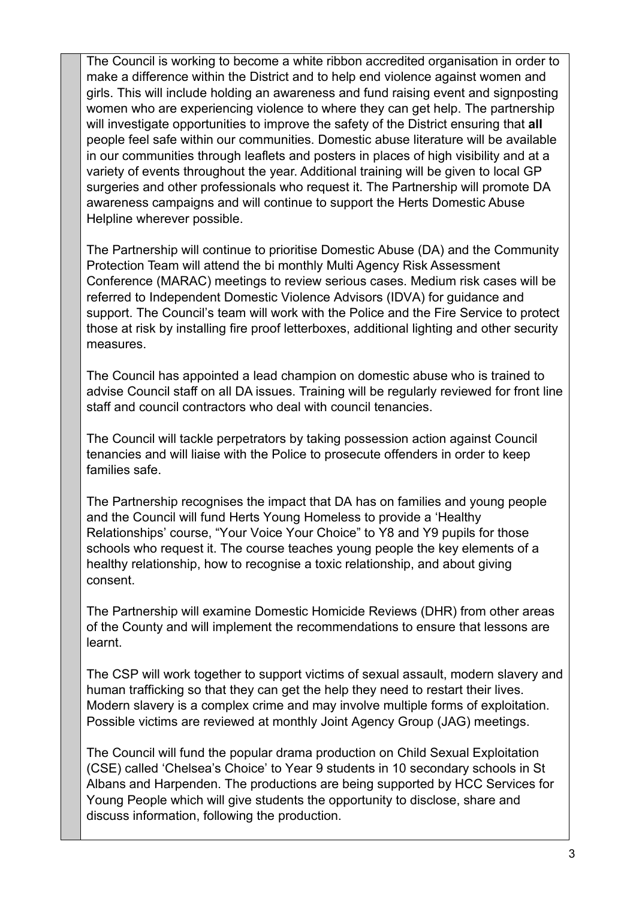The Council is working to become a white ribbon accredited organisation in order to make a difference within the District and to help end violence against women and girls. This will include holding an awareness and fund raising event and signposting women who are experiencing violence to where they can get help. The partnership will investigate opportunities to improve the safety of the District ensuring that **all**  people feel safe within our communities. Domestic abuse literature will be available in our communities through leaflets and posters in places of high visibility and at a variety of events throughout the year. Additional training will be given to local GP surgeries and other professionals who request it. The Partnership will promote DA awareness campaigns and will continue to support the Herts Domestic Abuse Helpline wherever possible.

The Partnership will continue to prioritise Domestic Abuse (DA) and the Community Protection Team will attend the bi monthly Multi Agency Risk Assessment Conference (MARAC) meetings to review serious cases. Medium risk cases will be referred to Independent Domestic Violence Advisors (IDVA) for guidance and support. The Council's team will work with the Police and the Fire Service to protect those at risk by installing fire proof letterboxes, additional lighting and other security measures.

The Council has appointed a lead champion on domestic abuse who is trained to advise Council staff on all DA issues. Training will be regularly reviewed for front line staff and council contractors who deal with council tenancies.

The Council will tackle perpetrators by taking possession action against Council tenancies and will liaise with the Police to prosecute offenders in order to keep families safe.

The Partnership recognises the impact that DA has on families and young people and the Council will fund Herts Young Homeless to provide a 'Healthy Relationships' course, "Your Voice Your Choice" to Y8 and Y9 pupils for those schools who request it. The course teaches young people the key elements of a healthy relationship, how to recognise a toxic relationship, and about giving consent.

The Partnership will examine Domestic Homicide Reviews (DHR) from other areas of the County and will implement the recommendations to ensure that lessons are learnt.

The CSP will work together to support victims of sexual assault, modern slavery and human trafficking so that they can get the help they need to restart their lives. Modern slavery is a complex crime and may involve multiple forms of exploitation. Possible victims are reviewed at monthly Joint Agency Group (JAG) meetings.

The Council will fund the popular drama production on Child Sexual Exploitation (CSE) called 'Chelsea's Choice' to Year 9 students in 10 secondary schools in St Albans and Harpenden. The productions are being supported by HCC Services for Young People which will give students the opportunity to disclose, share and discuss information, following the production.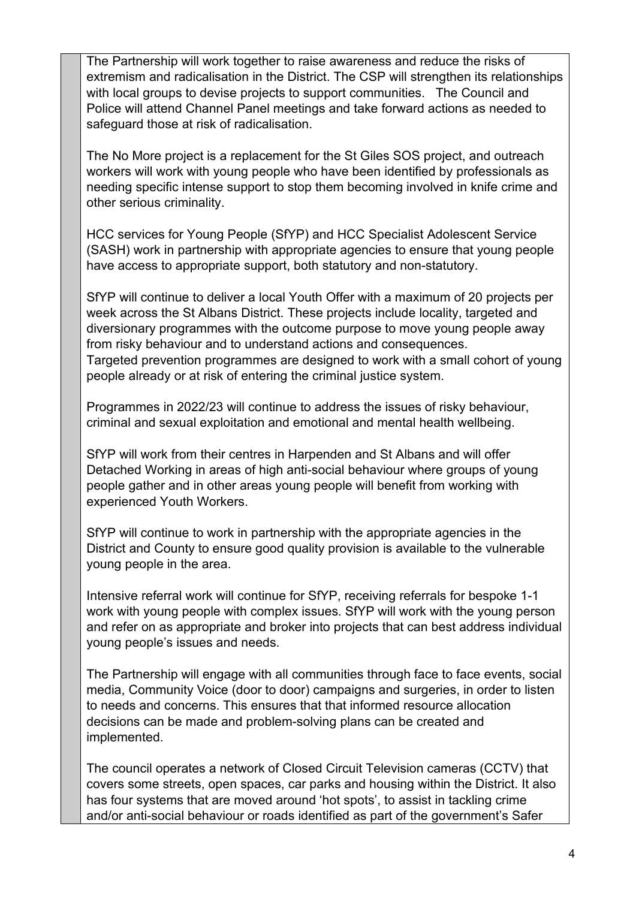The Partnership will work together to raise awareness and reduce the risks of extremism and radicalisation in the District. The CSP will strengthen its relationships with local groups to devise projects to support communities. The Council and Police will attend Channel Panel meetings and take forward actions as needed to safeguard those at risk of radicalisation.

The No More project is a replacement for the St Giles SOS project, and outreach workers will work with young people who have been identified by professionals as needing specific intense support to stop them becoming involved in knife crime and other serious criminality.

HCC services for Young People (SfYP) and HCC Specialist Adolescent Service (SASH) work in partnership with appropriate agencies to ensure that young people have access to appropriate support, both statutory and non-statutory.

SfYP will continue to deliver a local Youth Offer with a maximum of 20 projects per week across the St Albans District. These projects include locality, targeted and diversionary programmes with the outcome purpose to move young people away from risky behaviour and to understand actions and consequences. Targeted prevention programmes are designed to work with a small cohort of young people already or at risk of entering the criminal justice system.

Programmes in 2022/23 will continue to address the issues of risky behaviour, criminal and sexual exploitation and emotional and mental health wellbeing.

SfYP will work from their centres in Harpenden and St Albans and will offer Detached Working in areas of high anti-social behaviour where groups of young people gather and in other areas young people will benefit from working with experienced Youth Workers.

SfYP will continue to work in partnership with the appropriate agencies in the District and County to ensure good quality provision is available to the vulnerable young people in the area.

Intensive referral work will continue for SfYP, receiving referrals for bespoke 1-1 work with young people with complex issues. SfYP will work with the young person and refer on as appropriate and broker into projects that can best address individual young people's issues and needs.

The Partnership will engage with all communities through face to face events, social media, Community Voice (door to door) campaigns and surgeries, in order to listen to needs and concerns. This ensures that that informed resource allocation decisions can be made and problem-solving plans can be created and implemented.

The council operates a network of Closed Circuit Television cameras (CCTV) that covers some streets, open spaces, car parks and housing within the District. It also has four systems that are moved around 'hot spots', to assist in tackling crime and/or anti-social behaviour or roads identified as part of the government's Safer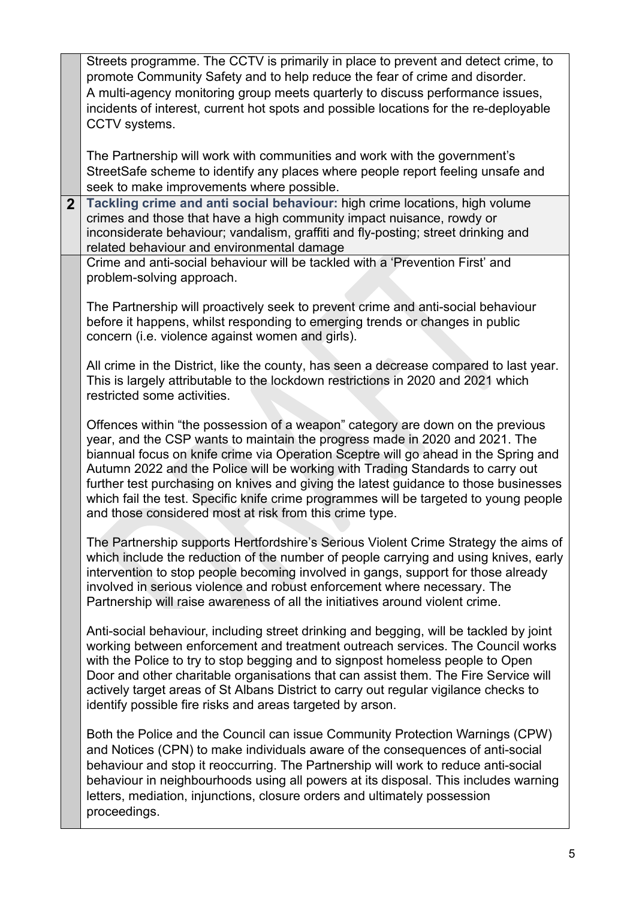|                | Streets programme. The CCTV is primarily in place to prevent and detect crime, to<br>promote Community Safety and to help reduce the fear of crime and disorder.<br>A multi-agency monitoring group meets quarterly to discuss performance issues,<br>incidents of interest, current hot spots and possible locations for the re-deployable<br>CCTV systems.                                                                                                                                                                                                                       |
|----------------|------------------------------------------------------------------------------------------------------------------------------------------------------------------------------------------------------------------------------------------------------------------------------------------------------------------------------------------------------------------------------------------------------------------------------------------------------------------------------------------------------------------------------------------------------------------------------------|
|                | The Partnership will work with communities and work with the government's<br>StreetSafe scheme to identify any places where people report feeling unsafe and<br>seek to make improvements where possible.                                                                                                                                                                                                                                                                                                                                                                          |
| 2 <sup>2</sup> | Tackling crime and anti social behaviour: high crime locations, high volume<br>crimes and those that have a high community impact nuisance, rowdy or<br>inconsiderate behaviour; vandalism, graffiti and fly-posting; street drinking and<br>related behaviour and environmental damage                                                                                                                                                                                                                                                                                            |
|                | Crime and anti-social behaviour will be tackled with a 'Prevention First' and<br>problem-solving approach.                                                                                                                                                                                                                                                                                                                                                                                                                                                                         |
|                | The Partnership will proactively seek to prevent crime and anti-social behaviour<br>before it happens, whilst responding to emerging trends or changes in public<br>concern (i.e. violence against women and girls).                                                                                                                                                                                                                                                                                                                                                               |
|                | All crime in the District, like the county, has seen a decrease compared to last year.<br>This is largely attributable to the lockdown restrictions in 2020 and 2021 which<br>restricted some activities.                                                                                                                                                                                                                                                                                                                                                                          |
|                | Offences within "the possession of a weapon" category are down on the previous<br>year, and the CSP wants to maintain the progress made in 2020 and 2021. The<br>biannual focus on knife crime via Operation Sceptre will go ahead in the Spring and<br>Autumn 2022 and the Police will be working with Trading Standards to carry out<br>further test purchasing on knives and giving the latest guidance to those businesses<br>which fail the test. Specific knife crime programmes will be targeted to young people<br>and those considered most at risk from this crime type. |
|                | The Partnership supports Hertfordshire's Serious Violent Crime Strategy the aims of<br>which include the reduction of the number of people carrying and using knives, early<br>intervention to stop people becoming involved in gangs, support for those already<br>involved in serious violence and robust enforcement where necessary. The<br>Partnership will raise awareness of all the initiatives around violent crime.                                                                                                                                                      |
|                | Anti-social behaviour, including street drinking and begging, will be tackled by joint<br>working between enforcement and treatment outreach services. The Council works<br>with the Police to try to stop begging and to signpost homeless people to Open<br>Door and other charitable organisations that can assist them. The Fire Service will<br>actively target areas of St Albans District to carry out regular vigilance checks to<br>identify possible fire risks and areas targeted by arson.                                                                             |
|                | Both the Police and the Council can issue Community Protection Warnings (CPW)<br>and Notices (CPN) to make individuals aware of the consequences of anti-social<br>behaviour and stop it reoccurring. The Partnership will work to reduce anti-social<br>behaviour in neighbourhoods using all powers at its disposal. This includes warning<br>letters, mediation, injunctions, closure orders and ultimately possession<br>proceedings.                                                                                                                                          |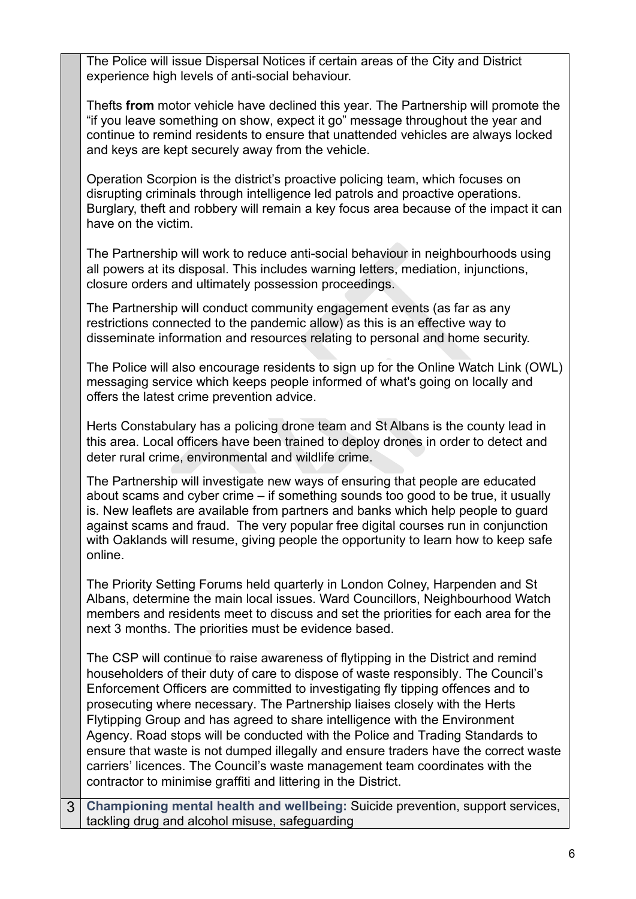The Police will issue Dispersal Notices if certain areas of the City and District experience high levels of anti-social behaviour.

Thefts **from** motor vehicle have declined this year. The Partnership will promote the "if you leave something on show, expect it go" message throughout the year and continue to remind residents to ensure that unattended vehicles are always locked and keys are kept securely away from the vehicle.

Operation Scorpion is the district's proactive policing team, which focuses on disrupting criminals through intelligence led patrols and proactive operations. Burglary, theft and robbery will remain a key focus area because of the impact it can have on the victim.

The Partnership will work to reduce anti-social behaviour in neighbourhoods using all powers at its disposal. This includes warning letters, mediation, injunctions, closure orders and ultimately possession proceedings.

The Partnership will conduct community engagement events (as far as any restrictions connected to the pandemic allow) as this is an effective way to disseminate information and resources relating to personal and home security.

The Police will also encourage residents to sign up for the Online Watch Link (OWL) messaging service which keeps people informed of what's going on locally and offers the latest crime prevention advice.

Herts Constabulary has a policing drone team and St Albans is the county lead in this area. Local officers have been trained to deploy drones in order to detect and deter rural crime, environmental and wildlife crime.

The Partnership will investigate new ways of ensuring that people are educated about scams and cyber crime – if something sounds too good to be true, it usually is. New leaflets are available from partners and banks which help people to guard against scams and fraud. The very popular free digital courses run in conjunction with Oaklands will resume, giving people the opportunity to learn how to keep safe online.

The Priority Setting Forums held quarterly in London Colney, Harpenden and St Albans, determine the main local issues. Ward Councillors, Neighbourhood Watch members and residents meet to discuss and set the priorities for each area for the next 3 months. The priorities must be evidence based.

The CSP will continue to raise awareness of flytipping in the District and remind householders of their duty of care to dispose of waste responsibly. The Council's Enforcement Officers are committed to investigating fly tipping offences and to prosecuting where necessary. The Partnership liaises closely with the Herts Flytipping Group and has agreed to share intelligence with the Environment Agency. Road stops will be conducted with the Police and Trading Standards to ensure that waste is not dumped illegally and ensure traders have the correct waste carriers' licences. The Council's waste management team coordinates with the contractor to minimise graffiti and littering in the District.

3 **Championing mental health and wellbeing:** Suicide prevention, support services, tackling drug and alcohol misuse, safeguarding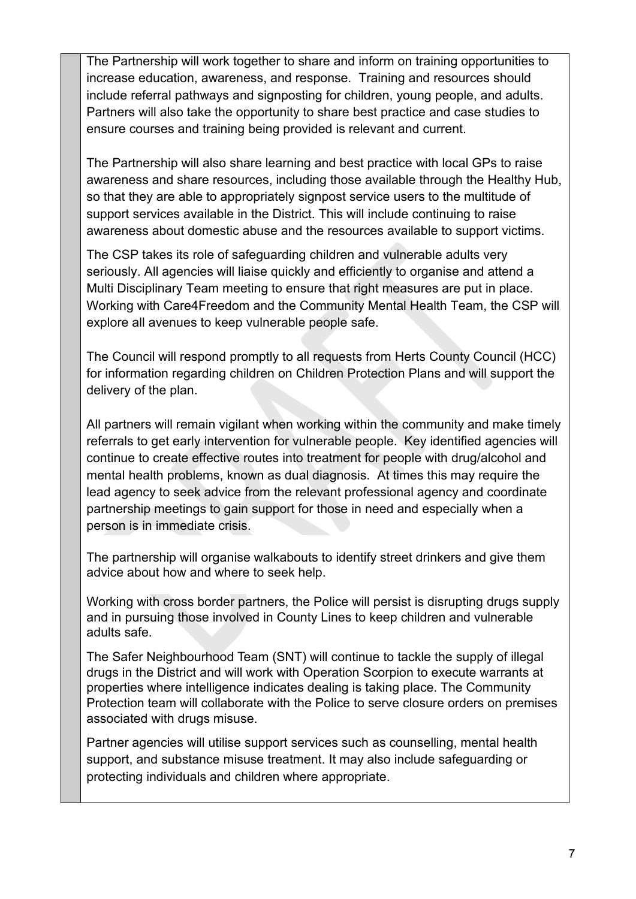The Partnership will work together to share and inform on training opportunities to increase education, awareness, and response. Training and resources should include referral pathways and signposting for children, young people, and adults. Partners will also take the opportunity to share best practice and case studies to ensure courses and training being provided is relevant and current.

The Partnership will also share learning and best practice with local GPs to raise awareness and share resources, including those available through the Healthy Hub, so that they are able to appropriately signpost service users to the multitude of support services available in the District. This will include continuing to raise awareness about domestic abuse and the resources available to support victims.

The CSP takes its role of safeguarding children and vulnerable adults very seriously. All agencies will liaise quickly and efficiently to organise and attend a Multi Disciplinary Team meeting to ensure that right measures are put in place. Working with Care4Freedom and the Community Mental Health Team, the CSP will explore all avenues to keep vulnerable people safe.

The Council will respond promptly to all requests from Herts County Council (HCC) for information regarding children on Children Protection Plans and will support the delivery of the plan.

All partners will remain vigilant when working within the community and make timely referrals to get early intervention for vulnerable people. Key identified agencies will continue to create effective routes into treatment for people with drug/alcohol and mental health problems, known as dual diagnosis. At times this may require the lead agency to seek advice from the relevant professional agency and coordinate partnership meetings to gain support for those in need and especially when a person is in immediate crisis.

The partnership will organise walkabouts to identify street drinkers and give them advice about how and where to seek help.

Working with cross border partners, the Police will persist is disrupting drugs supply and in pursuing those involved in County Lines to keep children and vulnerable adults safe.

The Safer Neighbourhood Team (SNT) will continue to tackle the supply of illegal drugs in the District and will work with Operation Scorpion to execute warrants at properties where intelligence indicates dealing is taking place. The Community Protection team will collaborate with the Police to serve closure orders on premises associated with drugs misuse.

Partner agencies will utilise support services such as counselling, mental health support, and substance misuse treatment. It may also include safeguarding or protecting individuals and children where appropriate.